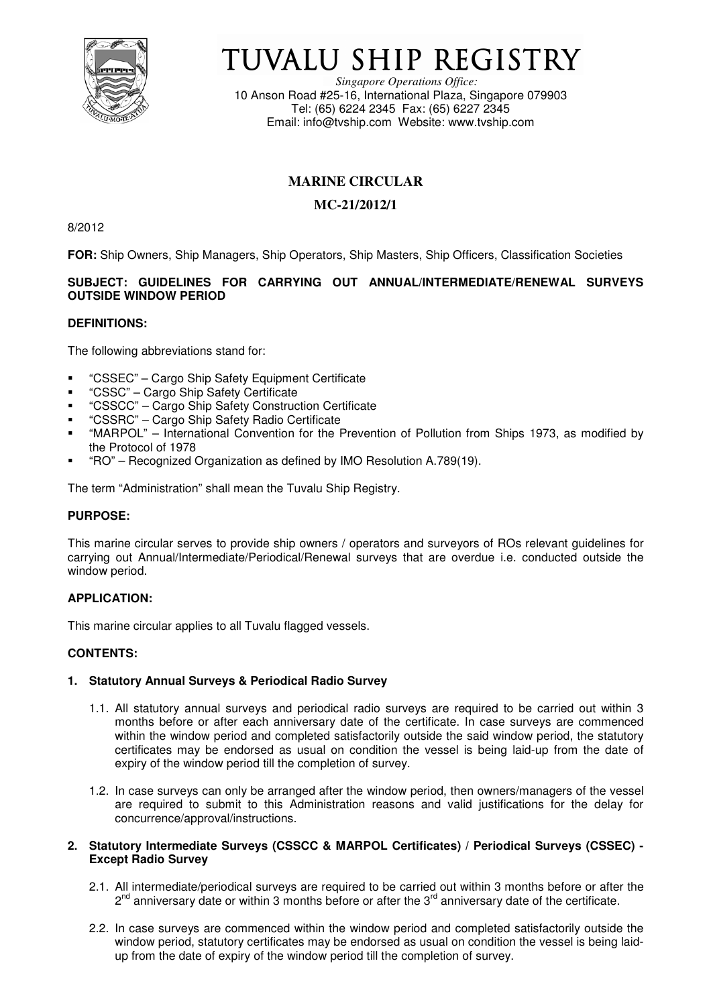

# TUVALU SHIP REGISTRY

*Singapore Operations Office:* 10 Anson Road #25-16, International Plaza, Singapore 079903 Tel: (65) 6224 2345 Fax: (65) 6227 2345 Email: info@tvship.com Website: www.tvship.com

# **MARINE CIRCULAR**

# **MC-21/2012/1**

8/2012

**FOR:** Ship Owners, Ship Managers, Ship Operators, Ship Masters, Ship Officers, Classification Societies

# **SUBJECT: GUIDELINES FOR CARRYING OUT ANNUAL/INTERMEDIATE/RENEWAL SURVEYS OUTSIDE WINDOW PERIOD**

#### **DEFINITIONS:**

The following abbreviations stand for:

- "CSSEC" Cargo Ship Safety Equipment Certificate
- "CSSC" Cargo Ship Safety Certificate
- "CSSCC" Cargo Ship Safety Construction Certificate
- "CSSRC" Cargo Ship Safety Radio Certificate
- "MARPOL" International Convention for the Prevention of Pollution from Ships 1973, as modified by the Protocol of 1978
- "RO" Recognized Organization as defined by IMO Resolution A.789(19).

The term "Administration" shall mean the Tuvalu Ship Registry.

### **PURPOSE:**

This marine circular serves to provide ship owners / operators and surveyors of ROs relevant guidelines for carrying out Annual/Intermediate/Periodical/Renewal surveys that are overdue i.e. conducted outside the window period.

### **APPLICATION:**

This marine circular applies to all Tuvalu flagged vessels.

#### **CONTENTS:**

#### **1. Statutory Annual Surveys & Periodical Radio Survey**

- 1.1. All statutory annual surveys and periodical radio surveys are required to be carried out within 3 months before or after each anniversary date of the certificate. In case surveys are commenced within the window period and completed satisfactorily outside the said window period, the statutory certificates may be endorsed as usual on condition the vessel is being laid-up from the date of expiry of the window period till the completion of survey.
- 1.2. In case surveys can only be arranged after the window period, then owners/managers of the vessel are required to submit to this Administration reasons and valid justifications for the delay for concurrence/approval/instructions.

#### **2. Statutory Intermediate Surveys (CSSCC & MARPOL Certificates) / Periodical Surveys (CSSEC) - Except Radio Survey**

- 2.1. All intermediate/periodical surveys are required to be carried out within 3 months before or after the  $2^{nd}$  anniversary date or within 3 months before or after the  $3^{rd}$  anniversary date of the certificate.
- 2.2. In case surveys are commenced within the window period and completed satisfactorily outside the window period, statutory certificates may be endorsed as usual on condition the vessel is being laidup from the date of expiry of the window period till the completion of survey.